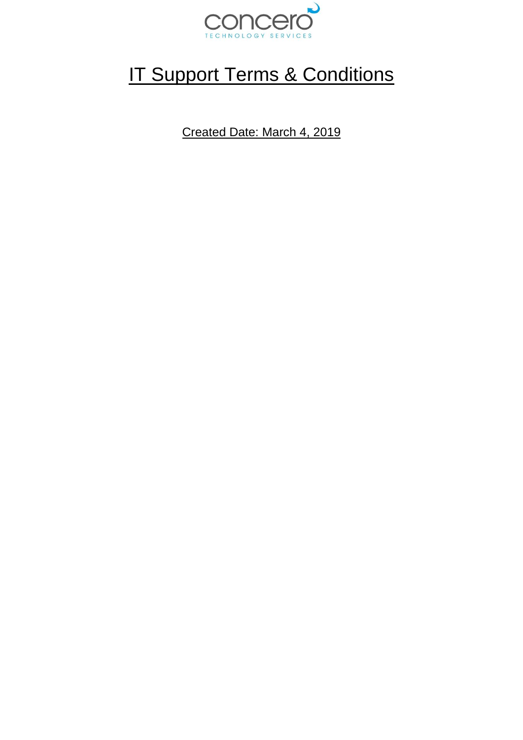

## **IT Support Terms & Conditions**

Created Date: March 4, 2019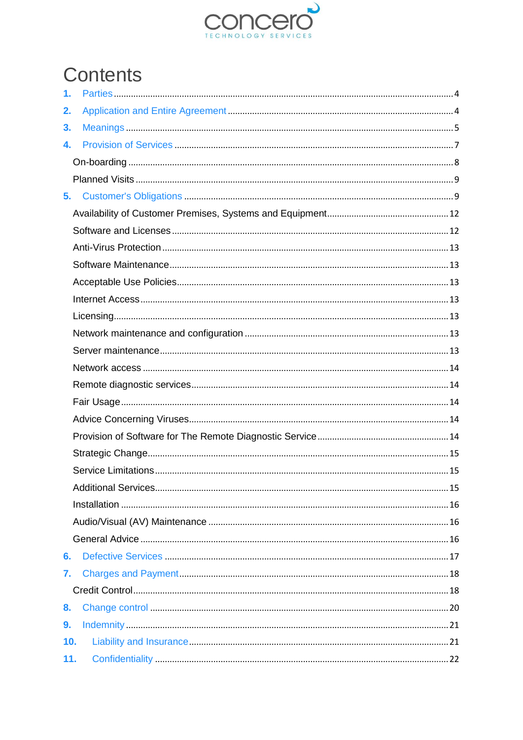

# Contents

| 1.  |  |  |
|-----|--|--|
| 2.  |  |  |
| 3.  |  |  |
| 4.  |  |  |
|     |  |  |
|     |  |  |
| 5.  |  |  |
|     |  |  |
|     |  |  |
|     |  |  |
|     |  |  |
|     |  |  |
|     |  |  |
|     |  |  |
|     |  |  |
|     |  |  |
|     |  |  |
|     |  |  |
|     |  |  |
|     |  |  |
|     |  |  |
|     |  |  |
|     |  |  |
|     |  |  |
|     |  |  |
|     |  |  |
|     |  |  |
| 6.  |  |  |
| 7.  |  |  |
|     |  |  |
| 8.  |  |  |
| 9.  |  |  |
| 10. |  |  |
| 11. |  |  |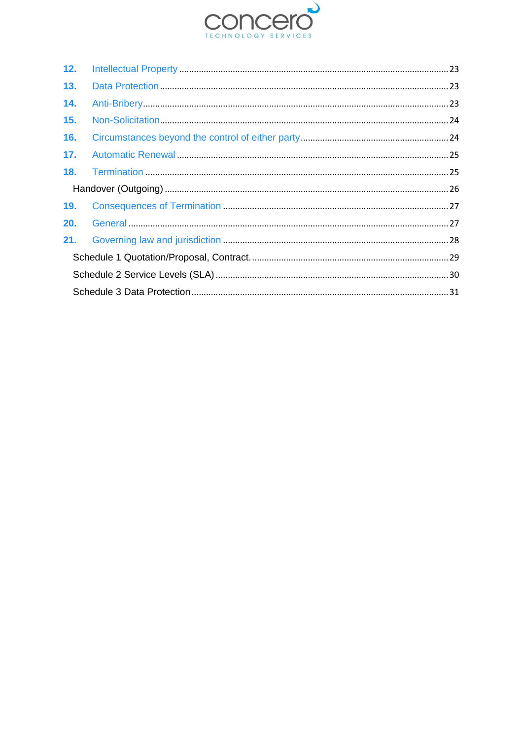

| 12. |  |  |  |  |  |
|-----|--|--|--|--|--|
| 13. |  |  |  |  |  |
| 14. |  |  |  |  |  |
| 15. |  |  |  |  |  |
| 16. |  |  |  |  |  |
| 17. |  |  |  |  |  |
| 18. |  |  |  |  |  |
|     |  |  |  |  |  |
| 19. |  |  |  |  |  |
| 20. |  |  |  |  |  |
| 21. |  |  |  |  |  |
|     |  |  |  |  |  |
|     |  |  |  |  |  |
|     |  |  |  |  |  |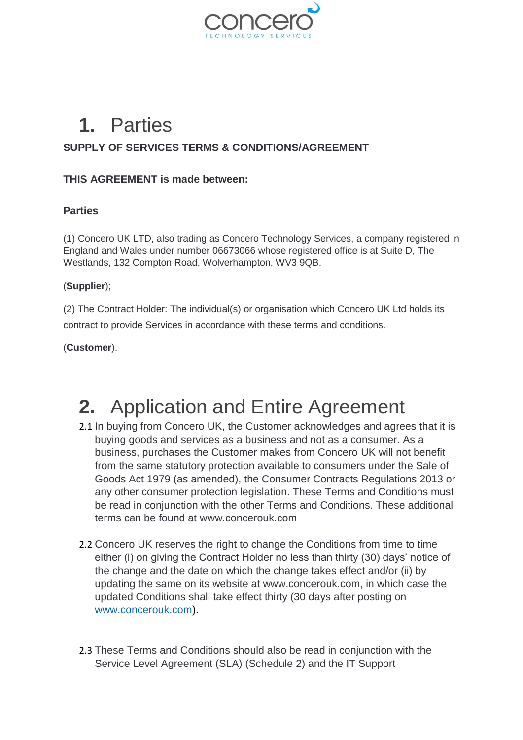

## <span id="page-3-0"></span>**1.** Parties

#### **SUPPLY OF SERVICES TERMS & CONDITIONS/AGREEMENT**

#### **THIS AGREEMENT is made between:**

#### **Parties**

(1) Concero UK LTD, also trading as Concero Technology Services, a company registered in England and Wales under number 06673066 whose registered office is at Suite D, The Westlands, 132 Compton Road, Wolverhampton, WV3 9QB.

#### (**Supplier**);

(2) The Contract Holder: The individual(s) or organisation which Concero UK Ltd holds its contract to provide Services in accordance with these terms and conditions.

(**Customer**).

### <span id="page-3-1"></span>**2.** Application and Entire Agreement

- 2.1 In buying from Concero UK, the Customer acknowledges and agrees that it is buying goods and services as a business and not as a consumer. As a business, purchases the Customer makes from Concero UK will not benefit from the same statutory protection available to consumers under the Sale of Goods Act 1979 (as amended), the Consumer Contracts Regulations 2013 or any other consumer protection legislation. These Terms and Conditions must be read in conjunction with the other Terms and Conditions. These additional terms can be found at [www.concerouk.com](http://www.concerouk.com/)
- 2.2 Concero UK reserves the right to change the Conditions from time to time either (i) on giving the Contract Holder no less than thirty (30) days' notice of the change and the date on which the change takes effect and/or (ii) by updating the same on its website at www.concerouk.com, in which case the updated Conditions shall take effect thirty (30 days after posting on [www.concerouk.com\)](http://www.concerouk.com/).
- 2.3 These Terms and Conditions should also be read in conjunction with the Service Level Agreement (SLA) (Schedule 2) and the IT Support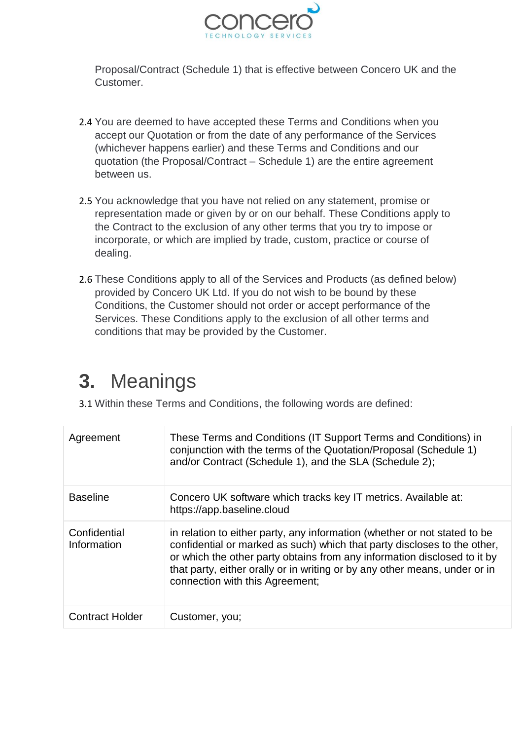

Proposal/Contract (Schedule 1) that is effective between Concero UK and the Customer.

- 2.4 You are deemed to have accepted these Terms and Conditions when you accept our Quotation or from the date of any performance of the Services (whichever happens earlier) and these Terms and Conditions and our quotation (the Proposal/Contract – Schedule 1) are the entire agreement between us.
- 2.5 You acknowledge that you have not relied on any statement, promise or representation made or given by or on our behalf. These Conditions apply to the Contract to the exclusion of any other terms that you try to impose or incorporate, or which are implied by trade, custom, practice or course of dealing.
- 2.6 These Conditions apply to all of the Services and Products (as defined below) provided by Concero UK Ltd. If you do not wish to be bound by these Conditions, the Customer should not order or accept performance of the Services. These Conditions apply to the exclusion of all other terms and conditions that may be provided by the Customer.

# <span id="page-4-0"></span>**3.** Meanings

3.1 Within these Terms and Conditions, the following words are defined:

| Agreement                   | These Terms and Conditions (IT Support Terms and Conditions) in<br>conjunction with the terms of the Quotation/Proposal (Schedule 1)<br>and/or Contract (Schedule 1), and the SLA (Schedule 2);                                                                                                                                                    |
|-----------------------------|----------------------------------------------------------------------------------------------------------------------------------------------------------------------------------------------------------------------------------------------------------------------------------------------------------------------------------------------------|
| <b>Baseline</b>             | Concero UK software which tracks key IT metrics. Available at:<br>https://app.baseline.cloud                                                                                                                                                                                                                                                       |
| Confidential<br>Information | in relation to either party, any information (whether or not stated to be<br>confidential or marked as such) which that party discloses to the other,<br>or which the other party obtains from any information disclosed to it by<br>that party, either orally or in writing or by any other means, under or in<br>connection with this Agreement; |
| <b>Contract Holder</b>      | Customer, you;                                                                                                                                                                                                                                                                                                                                     |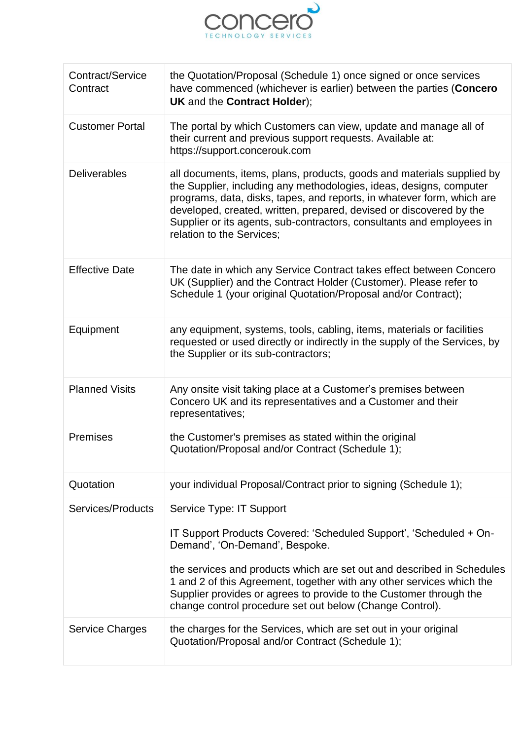

| Contract/Service<br>Contract | the Quotation/Proposal (Schedule 1) once signed or once services<br>have commenced (whichever is earlier) between the parties (Concero<br><b>UK</b> and the <b>Contract Holder</b> );                                                                                                                                                                                                                                 |
|------------------------------|-----------------------------------------------------------------------------------------------------------------------------------------------------------------------------------------------------------------------------------------------------------------------------------------------------------------------------------------------------------------------------------------------------------------------|
| <b>Customer Portal</b>       | The portal by which Customers can view, update and manage all of<br>their current and previous support requests. Available at:<br>https://support.concerouk.com                                                                                                                                                                                                                                                       |
| <b>Deliverables</b>          | all documents, items, plans, products, goods and materials supplied by<br>the Supplier, including any methodologies, ideas, designs, computer<br>programs, data, disks, tapes, and reports, in whatever form, which are<br>developed, created, written, prepared, devised or discovered by the<br>Supplier or its agents, sub-contractors, consultants and employees in<br>relation to the Services;                  |
| <b>Effective Date</b>        | The date in which any Service Contract takes effect between Concero<br>UK (Supplier) and the Contract Holder (Customer). Please refer to<br>Schedule 1 (your original Quotation/Proposal and/or Contract);                                                                                                                                                                                                            |
| Equipment                    | any equipment, systems, tools, cabling, items, materials or facilities<br>requested or used directly or indirectly in the supply of the Services, by<br>the Supplier or its sub-contractors;                                                                                                                                                                                                                          |
| <b>Planned Visits</b>        | Any onsite visit taking place at a Customer's premises between<br>Concero UK and its representatives and a Customer and their<br>representatives;                                                                                                                                                                                                                                                                     |
| Premises                     | the Customer's premises as stated within the original<br>Quotation/Proposal and/or Contract (Schedule 1);                                                                                                                                                                                                                                                                                                             |
| Quotation                    | your individual Proposal/Contract prior to signing (Schedule 1);                                                                                                                                                                                                                                                                                                                                                      |
| Services/Products            | Service Type: IT Support<br>IT Support Products Covered: 'Scheduled Support', 'Scheduled + On-<br>Demand', 'On-Demand', Bespoke.<br>the services and products which are set out and described in Schedules<br>1 and 2 of this Agreement, together with any other services which the<br>Supplier provides or agrees to provide to the Customer through the<br>change control procedure set out below (Change Control). |
| <b>Service Charges</b>       | the charges for the Services, which are set out in your original<br>Quotation/Proposal and/or Contract (Schedule 1);                                                                                                                                                                                                                                                                                                  |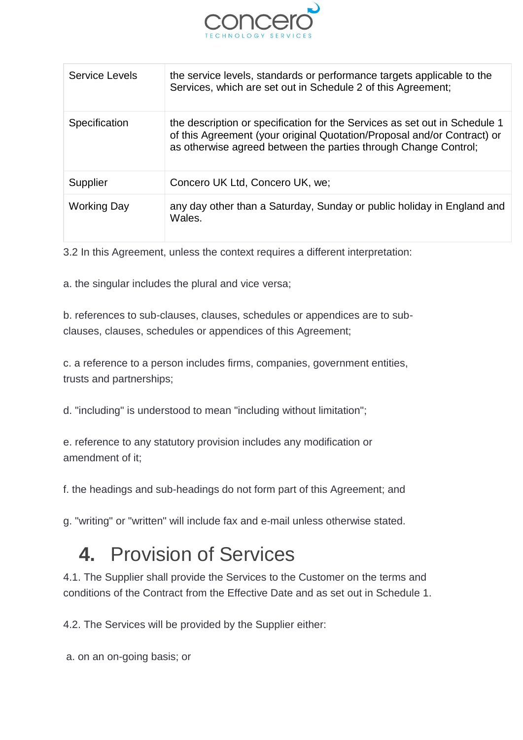

| Service Levels | the service levels, standards or performance targets applicable to the<br>Services, which are set out in Schedule 2 of this Agreement;                                                                                   |
|----------------|--------------------------------------------------------------------------------------------------------------------------------------------------------------------------------------------------------------------------|
| Specification  | the description or specification for the Services as set out in Schedule 1<br>of this Agreement (your original Quotation/Proposal and/or Contract) or<br>as otherwise agreed between the parties through Change Control; |
| Supplier       | Concero UK Ltd, Concero UK, we;                                                                                                                                                                                          |
| Working Day    | any day other than a Saturday, Sunday or public holiday in England and<br>Wales.                                                                                                                                         |

3.2 In this Agreement, unless the context requires a different interpretation:

a. the singular includes the plural and vice versa;

b. references to sub-clauses, clauses, schedules or appendices are to subclauses, clauses, schedules or appendices of this Agreement;

c. a reference to a person includes firms, companies, government entities, trusts and partnerships;

d. "including" is understood to mean "including without limitation";

e. reference to any statutory provision includes any modification or amendment of it;

f. the headings and sub-headings do not form part of this Agreement; and

g. "writing" or "written" will include fax and e-mail unless otherwise stated.

### <span id="page-6-0"></span>**4.** Provision of Services

4.1. The Supplier shall provide the Services to the Customer on the terms and conditions of the Contract from the Effective Date and as set out in Schedule 1.

4.2. The Services will be provided by the Supplier either:

a. on an on-going basis; or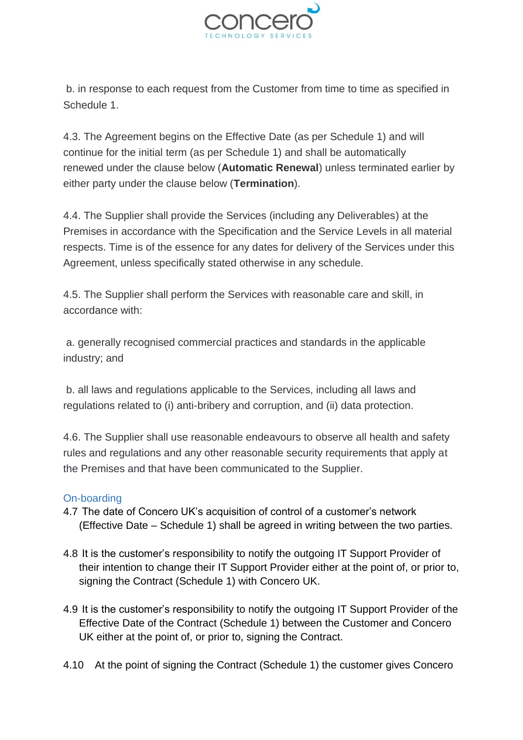

b. in response to each request from the Customer from time to time as specified in Schedule 1.

4.3. The Agreement begins on the Effective Date (as per Schedule 1) and will continue for the initial term (as per Schedule 1) and shall be automatically renewed under the clause below (**Automatic Renewal**) unless terminated earlier by either party under the clause below (**Termination**).

4.4. The Supplier shall provide the Services (including any Deliverables) at the Premises in accordance with the Specification and the Service Levels in all material respects. Time is of the essence for any dates for delivery of the Services under this Agreement, unless specifically stated otherwise in any schedule.

4.5. The Supplier shall perform the Services with reasonable care and skill, in accordance with:

a. generally recognised commercial practices and standards in the applicable industry; and

b. all laws and regulations applicable to the Services, including all laws and regulations related to (i) anti-bribery and corruption, and (ii) data protection.

4.6. The Supplier shall use reasonable endeavours to observe all health and safety rules and regulations and any other reasonable security requirements that apply at the Premises and that have been communicated to the Supplier.

#### <span id="page-7-0"></span>On-boarding

- 4.7 The date of Concero UK's acquisition of control of a customer's network (Effective Date – Schedule 1) shall be agreed in writing between the two parties.
- 4.8 It is the customer's responsibility to notify the outgoing IT Support Provider of their intention to change their IT Support Provider either at the point of, or prior to, signing the Contract (Schedule 1) with Concero UK.
- 4.9 It is the customer's responsibility to notify the outgoing IT Support Provider of the Effective Date of the Contract (Schedule 1) between the Customer and Concero UK either at the point of, or prior to, signing the Contract.
- 4.10 At the point of signing the Contract (Schedule 1) the customer gives Concero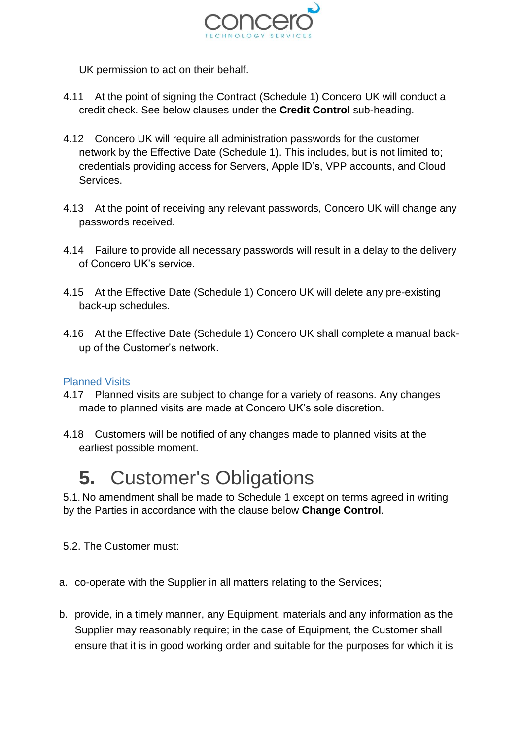

UK permission to act on their behalf.

- 4.11 At the point of signing the Contract (Schedule 1) Concero UK will conduct a credit check. See below clauses under the **Credit Control** sub-heading.
- 4.12 Concero UK will require all administration passwords for the customer network by the Effective Date (Schedule 1). This includes, but is not limited to; credentials providing access for Servers, Apple ID's, VPP accounts, and Cloud Services.
- 4.13 At the point of receiving any relevant passwords, Concero UK will change any passwords received.
- 4.14 Failure to provide all necessary passwords will result in a delay to the delivery of Concero UK's service.
- 4.15 At the Effective Date (Schedule 1) Concero UK will delete any pre-existing back-up schedules.
- 4.16 At the Effective Date (Schedule 1) Concero UK shall complete a manual backup of the Customer's network.

#### <span id="page-8-0"></span>Planned Visits

- 4.17 Planned visits are subject to change for a variety of reasons. Any changes made to planned visits are made at Concero UK's sole discretion.
- 4.18 Customers will be notified of any changes made to planned visits at the earliest possible moment.

### <span id="page-8-1"></span>**5.** Customer's Obligations

5.1. No amendment shall be made to Schedule 1 except on terms agreed in writing by the Parties in accordance with the clause below **Change Control**.

5.2. The Customer must:

- a. co-operate with the Supplier in all matters relating to the Services;
- b. provide, in a timely manner, any Equipment, materials and any information as the Supplier may reasonably require; in the case of Equipment, the Customer shall ensure that it is in good working order and suitable for the purposes for which it is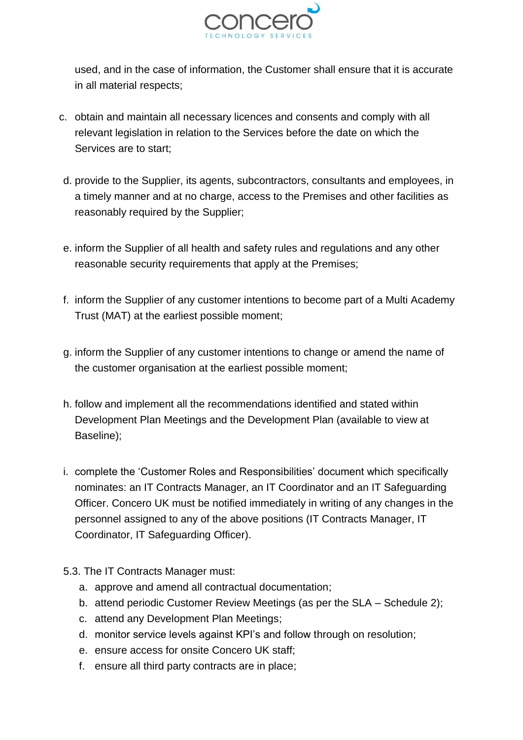

used, and in the case of information, the Customer shall ensure that it is accurate in all material respects;

- c. obtain and maintain all necessary licences and consents and comply with all relevant legislation in relation to the Services before the date on which the Services are to start;
- d. provide to the Supplier, its agents, subcontractors, consultants and employees, in a timely manner and at no charge, access to the Premises and other facilities as reasonably required by the Supplier;
- e. inform the Supplier of all health and safety rules and regulations and any other reasonable security requirements that apply at the Premises;
- f. inform the Supplier of any customer intentions to become part of a Multi Academy Trust (MAT) at the earliest possible moment;
- g. inform the Supplier of any customer intentions to change or amend the name of the customer organisation at the earliest possible moment;
- h. follow and implement all the recommendations identified and stated within Development Plan Meetings and the Development Plan (available to view at Baseline);
- i. complete the 'Customer Roles and Responsibilities' document which specifically nominates: an IT Contracts Manager, an IT Coordinator and an IT Safeguarding Officer. Concero UK must be notified immediately in writing of any changes in the personnel assigned to any of the above positions (IT Contracts Manager, IT Coordinator, IT Safeguarding Officer).
- 5.3. The IT Contracts Manager must:
	- a. approve and amend all contractual documentation;
	- b. attend periodic Customer Review Meetings (as per the SLA Schedule 2);
	- c. attend any Development Plan Meetings;
	- d. monitor service levels against KPI's and follow through on resolution;
	- e. ensure access for onsite Concero UK staff;
	- f. ensure all third party contracts are in place;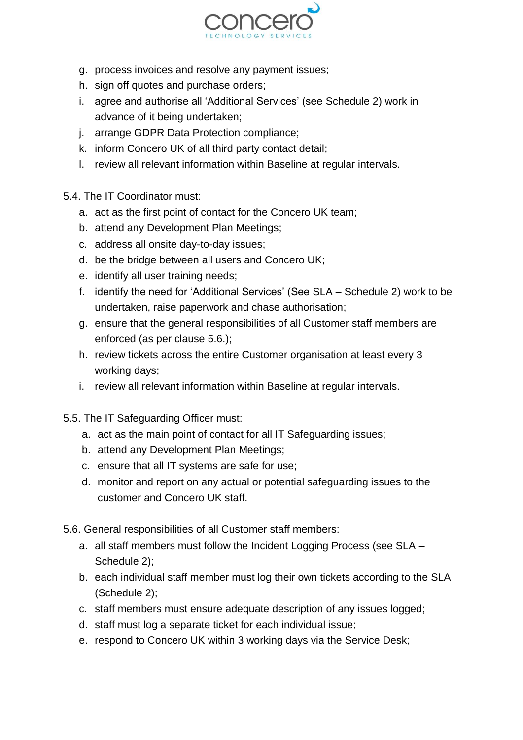

- g. process invoices and resolve any payment issues;
- h. sign off quotes and purchase orders;
- i. agree and authorise all 'Additional Services' (see Schedule 2) work in advance of it being undertaken;
- j. arrange GDPR Data Protection compliance;
- k. inform Concero UK of all third party contact detail;
- l. review all relevant information within Baseline at regular intervals.
- 5.4. The IT Coordinator must:
	- a. act as the first point of contact for the Concero UK team;
	- b. attend any Development Plan Meetings;
	- c. address all onsite day-to-day issues;
	- d. be the bridge between all users and Concero UK;
	- e. identify all user training needs;
	- f. identify the need for 'Additional Services' (See SLA Schedule 2) work to be undertaken, raise paperwork and chase authorisation;
	- g. ensure that the general responsibilities of all Customer staff members are enforced (as per clause 5.6.);
	- h. review tickets across the entire Customer organisation at least every 3 working days;
	- i. review all relevant information within Baseline at regular intervals.
- 5.5. The IT Safeguarding Officer must:
	- a. act as the main point of contact for all IT Safeguarding issues;
	- b. attend any Development Plan Meetings;
	- c. ensure that all IT systems are safe for use;
	- d. monitor and report on any actual or potential safeguarding issues to the customer and Concero UK staff.
- 5.6. General responsibilities of all Customer staff members:
	- a. all staff members must follow the Incident Logging Process (see SLA Schedule 2);
	- b. each individual staff member must log their own tickets according to the SLA (Schedule 2);
	- c. staff members must ensure adequate description of any issues logged;
	- d. staff must log a separate ticket for each individual issue;
	- e. respond to Concero UK within 3 working days via the Service Desk;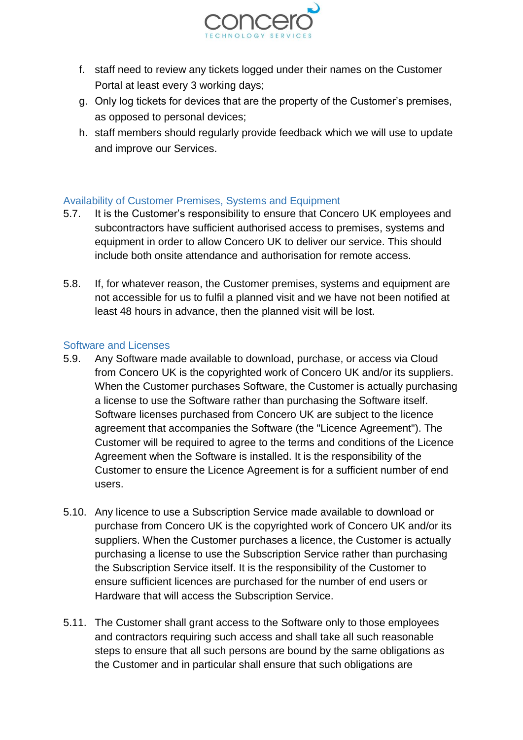

- f. staff need to review any tickets logged under their names on the Customer Portal at least every 3 working days;
- g. Only log tickets for devices that are the property of the Customer's premises, as opposed to personal devices;
- h. staff members should regularly provide feedback which we will use to update and improve our Services.

#### <span id="page-11-0"></span>Availability of Customer Premises, Systems and Equipment

- 5.7. It is the Customer's responsibility to ensure that Concero UK employees and subcontractors have sufficient authorised access to premises, systems and equipment in order to allow Concero UK to deliver our service. This should include both onsite attendance and authorisation for remote access.
- 5.8. If, for whatever reason, the Customer premises, systems and equipment are not accessible for us to fulfil a planned visit and we have not been notified at least 48 hours in advance, then the planned visit will be lost.

#### <span id="page-11-1"></span>Software and Licenses

- 5.9. Any Software made available to download, purchase, or access via Cloud from Concero UK is the copyrighted work of Concero UK and/or its suppliers. When the Customer purchases Software, the Customer is actually purchasing a license to use the Software rather than purchasing the Software itself. Software licenses purchased from Concero UK are subject to the licence agreement that accompanies the Software (the "Licence Agreement"). The Customer will be required to agree to the terms and conditions of the Licence Agreement when the Software is installed. It is the responsibility of the Customer to ensure the Licence Agreement is for a sufficient number of end users.
- 5.10. Any licence to use a Subscription Service made available to download or purchase from Concero UK is the copyrighted work of Concero UK and/or its suppliers. When the Customer purchases a licence, the Customer is actually purchasing a license to use the Subscription Service rather than purchasing the Subscription Service itself. It is the responsibility of the Customer to ensure sufficient licences are purchased for the number of end users or Hardware that will access the Subscription Service.
- 5.11. The Customer shall grant access to the Software only to those employees and contractors requiring such access and shall take all such reasonable steps to ensure that all such persons are bound by the same obligations as the Customer and in particular shall ensure that such obligations are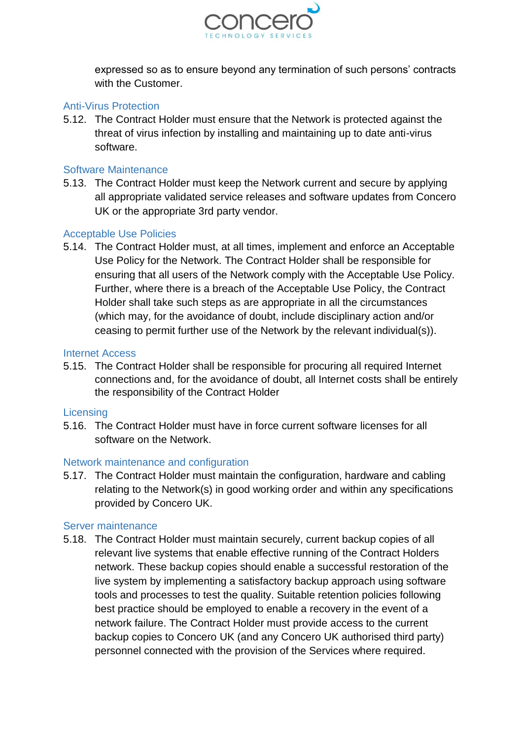

expressed so as to ensure beyond any termination of such persons' contracts with the Customer.

#### <span id="page-12-0"></span>Anti-Virus Protection

5.12. The Contract Holder must ensure that the Network is protected against the threat of virus infection by installing and maintaining up to date anti-virus software.

#### <span id="page-12-1"></span>Software Maintenance

5.13. The Contract Holder must keep the Network current and secure by applying all appropriate validated service releases and software updates from Concero UK or the appropriate 3rd party vendor.

#### <span id="page-12-2"></span>Acceptable Use Policies

5.14. The Contract Holder must, at all times, implement and enforce an Acceptable Use Policy for the Network. The Contract Holder shall be responsible for ensuring that all users of the Network comply with the Acceptable Use Policy. Further, where there is a breach of the Acceptable Use Policy, the Contract Holder shall take such steps as are appropriate in all the circumstances (which may, for the avoidance of doubt, include disciplinary action and/or ceasing to permit further use of the Network by the relevant individual(s)).

#### <span id="page-12-3"></span>Internet Access

5.15. The Contract Holder shall be responsible for procuring all required Internet connections and, for the avoidance of doubt, all Internet costs shall be entirely the responsibility of the Contract Holder

#### <span id="page-12-4"></span>**Licensing**

5.16. The Contract Holder must have in force current software licenses for all software on the Network.

#### <span id="page-12-5"></span>Network maintenance and configuration

5.17. The Contract Holder must maintain the configuration, hardware and cabling relating to the Network(s) in good working order and within any specifications provided by Concero UK.

#### <span id="page-12-6"></span>Server maintenance

5.18. The Contract Holder must maintain securely, current backup copies of all relevant live systems that enable effective running of the Contract Holders network. These backup copies should enable a successful restoration of the live system by implementing a satisfactory backup approach using software tools and processes to test the quality. Suitable retention policies following best practice should be employed to enable a recovery in the event of a network failure. The Contract Holder must provide access to the current backup copies to Concero UK (and any Concero UK authorised third party) personnel connected with the provision of the Services where required.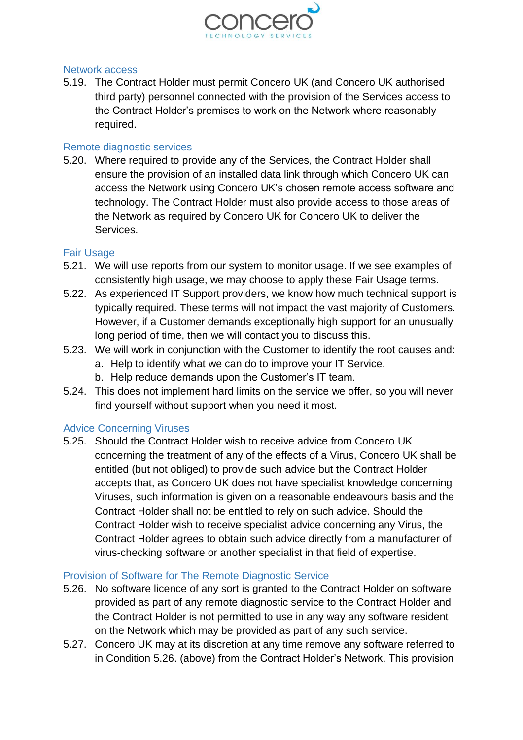

#### <span id="page-13-0"></span>Network access

5.19. The Contract Holder must permit Concero UK (and Concero UK authorised third party) personnel connected with the provision of the Services access to the Contract Holder's premises to work on the Network where reasonably required.

#### <span id="page-13-1"></span>Remote diagnostic services

5.20. Where required to provide any of the Services, the Contract Holder shall ensure the provision of an installed data link through which Concero UK can access the Network using Concero UK's chosen remote access software and technology. The Contract Holder must also provide access to those areas of the Network as required by Concero UK for Concero UK to deliver the Services.

#### <span id="page-13-2"></span>Fair Usage

- 5.21. We will use reports from our system to monitor usage. If we see examples of consistently high usage, we may choose to apply these Fair Usage terms.
- 5.22. As experienced IT Support providers, we know how much technical support is typically required. These terms will not impact the vast majority of Customers. However, if a Customer demands exceptionally high support for an unusually long period of time, then we will contact you to discuss this.
- 5.23. We will work in conjunction with the Customer to identify the root causes and: a. Help to identify what we can do to improve your IT Service.
	- b. Help reduce demands upon the Customer's IT team.
- 5.24. This does not implement hard limits on the service we offer, so you will never find yourself without support when you need it most.

#### <span id="page-13-3"></span>Advice Concerning Viruses

5.25. Should the Contract Holder wish to receive advice from Concero UK concerning the treatment of any of the effects of a Virus, Concero UK shall be entitled (but not obliged) to provide such advice but the Contract Holder accepts that, as Concero UK does not have specialist knowledge concerning Viruses, such information is given on a reasonable endeavours basis and the Contract Holder shall not be entitled to rely on such advice. Should the Contract Holder wish to receive specialist advice concerning any Virus, the Contract Holder agrees to obtain such advice directly from a manufacturer of virus-checking software or another specialist in that field of expertise.

#### <span id="page-13-4"></span>Provision of Software for The Remote Diagnostic Service

- 5.26. No software licence of any sort is granted to the Contract Holder on software provided as part of any remote diagnostic service to the Contract Holder and the Contract Holder is not permitted to use in any way any software resident on the Network which may be provided as part of any such service.
- 5.27. Concero UK may at its discretion at any time remove any software referred to in Condition 5.26. (above) from the Contract Holder's Network. This provision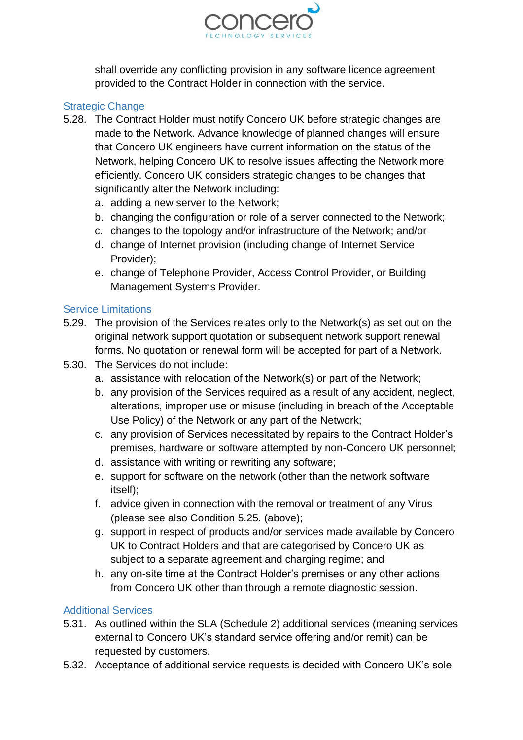

shall override any conflicting provision in any software licence agreement provided to the Contract Holder in connection with the service.

#### <span id="page-14-0"></span>Strategic Change

- 5.28. The Contract Holder must notify Concero UK before strategic changes are made to the Network. Advance knowledge of planned changes will ensure that Concero UK engineers have current information on the status of the Network, helping Concero UK to resolve issues affecting the Network more efficiently. Concero UK considers strategic changes to be changes that significantly alter the Network including:
	- a. adding a new server to the Network;
	- b. changing the configuration or role of a server connected to the Network;
	- c. changes to the topology and/or infrastructure of the Network; and/or
	- d. change of Internet provision (including change of Internet Service Provider);
	- e. change of Telephone Provider, Access Control Provider, or Building Management Systems Provider.

#### <span id="page-14-1"></span>Service Limitations

- 5.29. The provision of the Services relates only to the Network(s) as set out on the original network support quotation or subsequent network support renewal forms. No quotation or renewal form will be accepted for part of a Network.
- 5.30. The Services do not include:
	- a. assistance with relocation of the Network(s) or part of the Network;
	- b. any provision of the Services required as a result of any accident, neglect, alterations, improper use or misuse (including in breach of the Acceptable Use Policy) of the Network or any part of the Network;
	- c. any provision of Services necessitated by repairs to the Contract Holder's premises, hardware or software attempted by non-Concero UK personnel;
	- d. assistance with writing or rewriting any software;
	- e. support for software on the network (other than the network software itself);
	- f. advice given in connection with the removal or treatment of any Virus (please see also Condition 5.25. (above);
	- g. support in respect of products and/or services made available by Concero UK to Contract Holders and that are categorised by Concero UK as subject to a separate agreement and charging regime; and
	- h. any on-site time at the Contract Holder's premises or any other actions from Concero UK other than through a remote diagnostic session.

#### <span id="page-14-2"></span>Additional Services

- 5.31. As outlined within the SLA (Schedule 2) additional services (meaning services external to Concero UK's standard service offering and/or remit) can be requested by customers.
- 5.32. Acceptance of additional service requests is decided with Concero UK's sole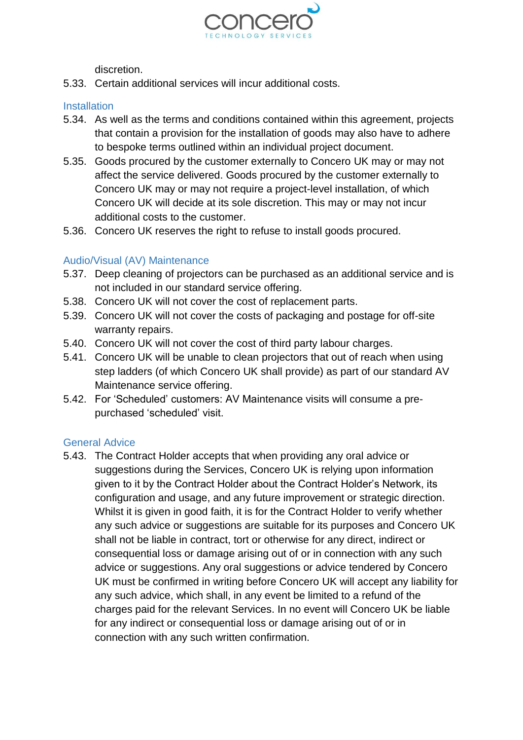

discretion.

5.33. Certain additional services will incur additional costs.

#### <span id="page-15-0"></span>**Installation**

- 5.34. As well as the terms and conditions contained within this agreement, projects that contain a provision for the installation of goods may also have to adhere to bespoke terms outlined within an individual project document.
- 5.35. Goods procured by the customer externally to Concero UK may or may not affect the service delivered. Goods procured by the customer externally to Concero UK may or may not require a project-level installation, of which Concero UK will decide at its sole discretion. This may or may not incur additional costs to the customer.
- 5.36. Concero UK reserves the right to refuse to install goods procured.

#### <span id="page-15-1"></span>Audio/Visual (AV) Maintenance

- 5.37. Deep cleaning of projectors can be purchased as an additional service and is not included in our standard service offering.
- 5.38. Concero UK will not cover the cost of replacement parts.
- 5.39. Concero UK will not cover the costs of packaging and postage for off-site warranty repairs.
- 5.40. Concero UK will not cover the cost of third party labour charges.
- 5.41. Concero UK will be unable to clean projectors that out of reach when using step ladders (of which Concero UK shall provide) as part of our standard AV Maintenance service offering.
- 5.42. For 'Scheduled' customers: AV Maintenance visits will consume a prepurchased 'scheduled' visit.

#### <span id="page-15-2"></span>General Advice

5.43. The Contract Holder accepts that when providing any oral advice or suggestions during the Services, Concero UK is relying upon information given to it by the Contract Holder about the Contract Holder's Network, its configuration and usage, and any future improvement or strategic direction. Whilst it is given in good faith, it is for the Contract Holder to verify whether any such advice or suggestions are suitable for its purposes and Concero UK shall not be liable in contract, tort or otherwise for any direct, indirect or consequential loss or damage arising out of or in connection with any such advice or suggestions. Any oral suggestions or advice tendered by Concero UK must be confirmed in writing before Concero UK will accept any liability for any such advice, which shall, in any event be limited to a refund of the charges paid for the relevant Services. In no event will Concero UK be liable for any indirect or consequential loss or damage arising out of or in connection with any such written confirmation.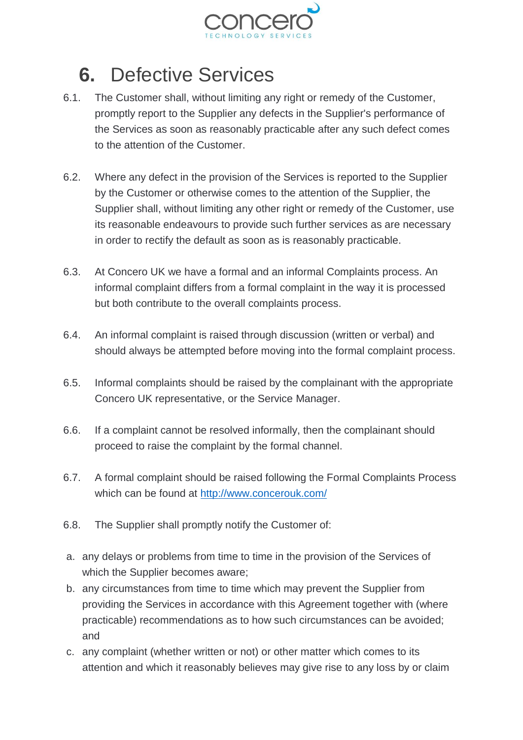

## <span id="page-16-0"></span>**6.** Defective Services

- 6.1. The Customer shall, without limiting any right or remedy of the Customer, promptly report to the Supplier any defects in the Supplier's performance of the Services as soon as reasonably practicable after any such defect comes to the attention of the Customer.
- 6.2. Where any defect in the provision of the Services is reported to the Supplier by the Customer or otherwise comes to the attention of the Supplier, the Supplier shall, without limiting any other right or remedy of the Customer, use its reasonable endeavours to provide such further services as are necessary in order to rectify the default as soon as is reasonably practicable.
- 6.3. At Concero UK we have a formal and an informal Complaints process. An informal complaint differs from a formal complaint in the way it is processed but both contribute to the overall complaints process.
- 6.4. An informal complaint is raised through discussion (written or verbal) and should always be attempted before moving into the formal complaint process.
- 6.5. Informal complaints should be raised by the complainant with the appropriate Concero UK representative, or the Service Manager.
- 6.6. If a complaint cannot be resolved informally, then the complainant should proceed to raise the complaint by the formal channel.
- 6.7. A formal complaint should be raised following the Formal Complaints Process which can be found at<http://www.concerouk.com/>
- 6.8. The Supplier shall promptly notify the Customer of:
- a. any delays or problems from time to time in the provision of the Services of which the Supplier becomes aware;
- b. any circumstances from time to time which may prevent the Supplier from providing the Services in accordance with this Agreement together with (where practicable) recommendations as to how such circumstances can be avoided; and
- c. any complaint (whether written or not) or other matter which comes to its attention and which it reasonably believes may give rise to any loss by or claim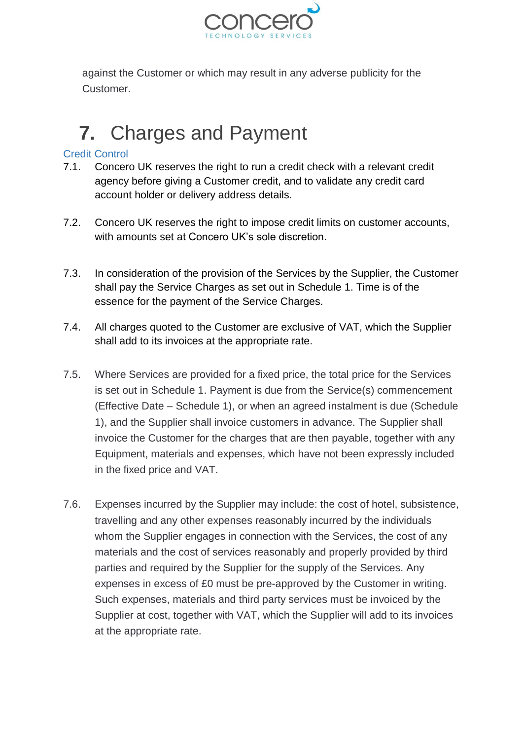

against the Customer or which may result in any adverse publicity for the Customer.

# <span id="page-17-0"></span>**7.** Charges and Payment

#### <span id="page-17-1"></span>Credit Control

- 7.1. Concero UK reserves the right to run a credit check with a relevant credit agency before giving a Customer credit, and to validate any credit card account holder or delivery address details.
- 7.2. Concero UK reserves the right to impose credit limits on customer accounts, with amounts set at Concero UK's sole discretion
- 7.3. In consideration of the provision of the Services by the Supplier, the Customer shall pay the Service Charges as set out in Schedule 1. Time is of the essence for the payment of the Service Charges.
- 7.4. All charges quoted to the Customer are exclusive of VAT, which the Supplier shall add to its invoices at the appropriate rate.
- 7.5. Where Services are provided for a fixed price, the total price for the Services is set out in Schedule 1. Payment is due from the Service(s) commencement (Effective Date – Schedule 1), or when an agreed instalment is due (Schedule 1), and the Supplier shall invoice customers in advance. The Supplier shall invoice the Customer for the charges that are then payable, together with any Equipment, materials and expenses, which have not been expressly included in the fixed price and VAT.
- 7.6. Expenses incurred by the Supplier may include: the cost of hotel, subsistence, travelling and any other expenses reasonably incurred by the individuals whom the Supplier engages in connection with the Services, the cost of any materials and the cost of services reasonably and properly provided by third parties and required by the Supplier for the supply of the Services. Any expenses in excess of £0 must be pre-approved by the Customer in writing. Such expenses, materials and third party services must be invoiced by the Supplier at cost, together with VAT, which the Supplier will add to its invoices at the appropriate rate.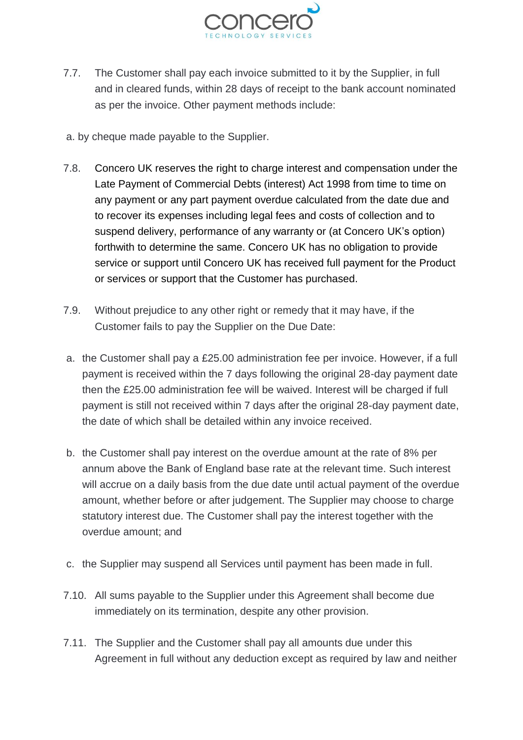

- 7.7. The Customer shall pay each invoice submitted to it by the Supplier, in full and in cleared funds, within 28 days of receipt to the bank account nominated as per the invoice. Other payment methods include:
- a. by cheque made payable to the Supplier.
- 7.8. Concero UK reserves the right to charge interest and compensation under the Late Payment of Commercial Debts (interest) Act 1998 from time to time on any payment or any part payment overdue calculated from the date due and to recover its expenses including legal fees and costs of collection and to suspend delivery, performance of any warranty or (at Concero UK's option) forthwith to determine the same. Concero UK has no obligation to provide service or support until Concero UK has received full payment for the Product or services or support that the Customer has purchased.
- 7.9. Without prejudice to any other right or remedy that it may have, if the Customer fails to pay the Supplier on the Due Date:
- a. the Customer shall pay a £25.00 administration fee per invoice. However, if a full payment is received within the 7 days following the original 28-day payment date then the £25.00 administration fee will be waived. Interest will be charged if full payment is still not received within 7 days after the original 28-day payment date, the date of which shall be detailed within any invoice received.
- b. the Customer shall pay interest on the overdue amount at the rate of 8% per annum above the Bank of England base rate at the relevant time. Such interest will accrue on a daily basis from the due date until actual payment of the overdue amount, whether before or after judgement. The Supplier may choose to charge statutory interest due. The Customer shall pay the interest together with the overdue amount; and
- c. the Supplier may suspend all Services until payment has been made in full.
- 7.10. All sums payable to the Supplier under this Agreement shall become due immediately on its termination, despite any other provision.
- 7.11. The Supplier and the Customer shall pay all amounts due under this Agreement in full without any deduction except as required by law and neither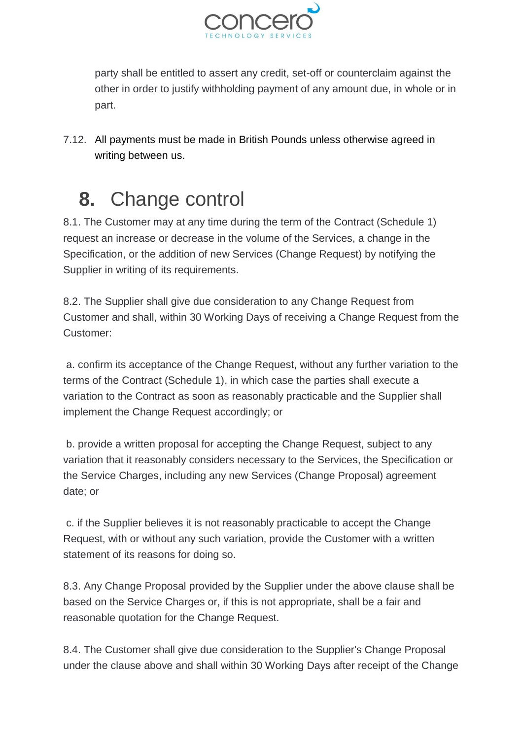

party shall be entitled to assert any credit, set-off or counterclaim against the other in order to justify withholding payment of any amount due, in whole or in part.

7.12. All payments must be made in British Pounds unless otherwise agreed in writing between us.

## <span id="page-19-0"></span>**8.** Change control

8.1. The Customer may at any time during the term of the Contract (Schedule 1) request an increase or decrease in the volume of the Services, a change in the Specification, or the addition of new Services (Change Request) by notifying the Supplier in writing of its requirements.

8.2. The Supplier shall give due consideration to any Change Request from Customer and shall, within 30 Working Days of receiving a Change Request from the Customer:

a. confirm its acceptance of the Change Request, without any further variation to the terms of the Contract (Schedule 1), in which case the parties shall execute a variation to the Contract as soon as reasonably practicable and the Supplier shall implement the Change Request accordingly; or

b. provide a written proposal for accepting the Change Request, subject to any variation that it reasonably considers necessary to the Services, the Specification or the Service Charges, including any new Services (Change Proposal) agreement date; or

c. if the Supplier believes it is not reasonably practicable to accept the Change Request, with or without any such variation, provide the Customer with a written statement of its reasons for doing so.

8.3. Any Change Proposal provided by the Supplier under the above clause shall be based on the Service Charges or, if this is not appropriate, shall be a fair and reasonable quotation for the Change Request.

8.4. The Customer shall give due consideration to the Supplier's Change Proposal under the clause above and shall within 30 Working Days after receipt of the Change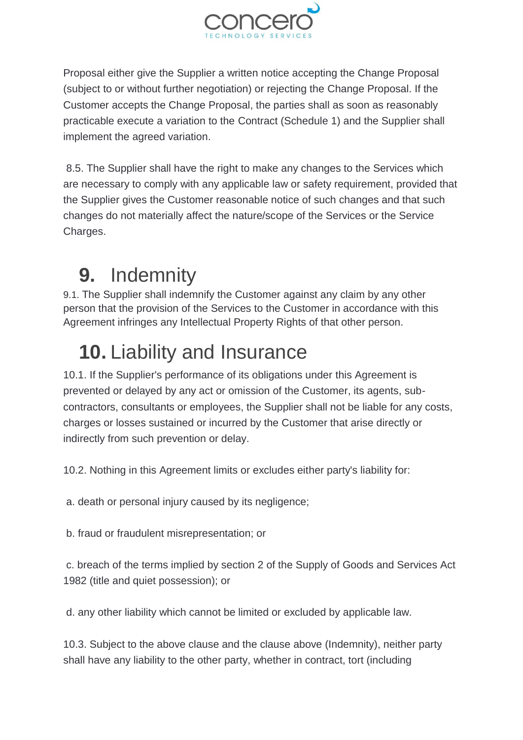

Proposal either give the Supplier a written notice accepting the Change Proposal (subject to or without further negotiation) or rejecting the Change Proposal. If the Customer accepts the Change Proposal, the parties shall as soon as reasonably practicable execute a variation to the Contract (Schedule 1) and the Supplier shall implement the agreed variation.

8.5. The Supplier shall have the right to make any changes to the Services which are necessary to comply with any applicable law or safety requirement, provided that the Supplier gives the Customer reasonable notice of such changes and that such changes do not materially affect the nature/scope of the Services or the Service Charges.

# <span id="page-20-0"></span>**9.** Indemnity

9.1. The Supplier shall indemnify the Customer against any claim by any other person that the provision of the Services to the Customer in accordance with this Agreement infringes any Intellectual Property Rights of that other person.

# <span id="page-20-1"></span>**10.** Liability and Insurance

10.1. If the Supplier's performance of its obligations under this Agreement is prevented or delayed by any act or omission of the Customer, its agents, subcontractors, consultants or employees, the Supplier shall not be liable for any costs, charges or losses sustained or incurred by the Customer that arise directly or indirectly from such prevention or delay.

10.2. Nothing in this Agreement limits or excludes either party's liability for:

a. death or personal injury caused by its negligence;

b. fraud or fraudulent misrepresentation; or

c. breach of the terms implied by section 2 of the Supply of Goods and Services Act 1982 (title and quiet possession); or

d. any other liability which cannot be limited or excluded by applicable law.

10.3. Subject to the above clause and the clause above (Indemnity), neither party shall have any liability to the other party, whether in contract, tort (including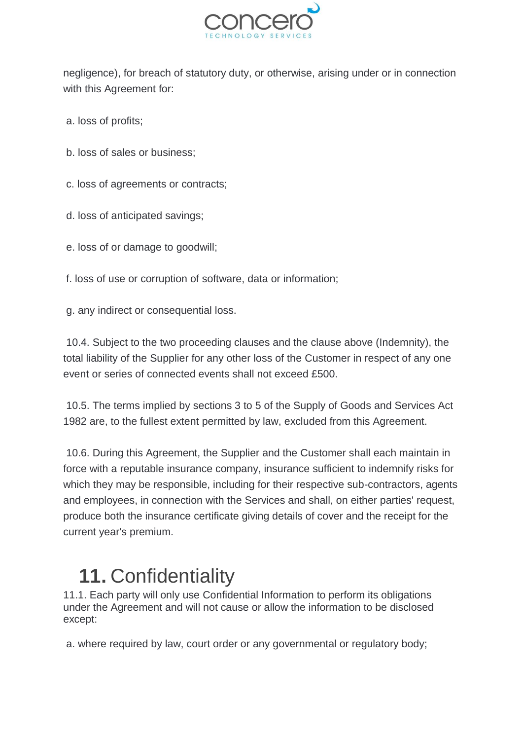

negligence), for breach of statutory duty, or otherwise, arising under or in connection with this Agreement for:

- a. loss of profits;
- b. loss of sales or business;
- c. loss of agreements or contracts;
- d. loss of anticipated savings;
- e. loss of or damage to goodwill;

f. loss of use or corruption of software, data or information;

g. any indirect or consequential loss.

10.4. Subject to the two proceeding clauses and the clause above (Indemnity), the total liability of the Supplier for any other loss of the Customer in respect of any one event or series of connected events shall not exceed £500.

10.5. The terms implied by sections 3 to 5 of the Supply of Goods and Services Act 1982 are, to the fullest extent permitted by law, excluded from this Agreement.

10.6. During this Agreement, the Supplier and the Customer shall each maintain in force with a reputable insurance company, insurance sufficient to indemnify risks for which they may be responsible, including for their respective sub-contractors, agents and employees, in connection with the Services and shall, on either parties' request, produce both the insurance certificate giving details of cover and the receipt for the current year's premium.

### <span id="page-21-0"></span>**11.** Confidentiality

11.1. Each party will only use Confidential Information to perform its obligations under the Agreement and will not cause or allow the information to be disclosed except:

a. where required by law, court order or any governmental or regulatory body;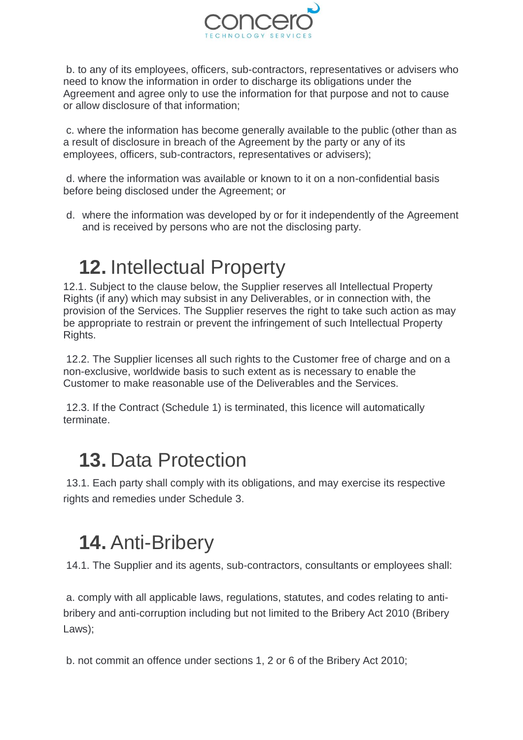

b. to any of its employees, officers, sub-contractors, representatives or advisers who need to know the information in order to discharge its obligations under the Agreement and agree only to use the information for that purpose and not to cause or allow disclosure of that information;

c. where the information has become generally available to the public (other than as a result of disclosure in breach of the Agreement by the party or any of its employees, officers, sub-contractors, representatives or advisers);

d. where the information was available or known to it on a non-confidential basis before being disclosed under the Agreement; or

d. where the information was developed by or for it independently of the Agreement and is received by persons who are not the disclosing party.

# <span id="page-22-0"></span>**12.** Intellectual Property

12.1. Subject to the clause below, the Supplier reserves all Intellectual Property Rights (if any) which may subsist in any Deliverables, or in connection with, the provision of the Services. The Supplier reserves the right to take such action as may be appropriate to restrain or prevent the infringement of such Intellectual Property Rights.

12.2. The Supplier licenses all such rights to the Customer free of charge and on a non-exclusive, worldwide basis to such extent as is necessary to enable the Customer to make reasonable use of the Deliverables and the Services.

12.3. If the Contract (Schedule 1) is terminated, this licence will automatically terminate.

### <span id="page-22-1"></span>**13.** Data Protection

13.1. Each party shall comply with its obligations, and may exercise its respective rights and remedies under Schedule 3.

### <span id="page-22-2"></span>**14.** Anti-Bribery

14.1. The Supplier and its agents, sub-contractors, consultants or employees shall:

a. comply with all applicable laws, regulations, statutes, and codes relating to antibribery and anti-corruption including but not limited to the Bribery Act 2010 (Bribery Laws);

b. not commit an offence under sections 1, 2 or 6 of the Bribery Act 2010;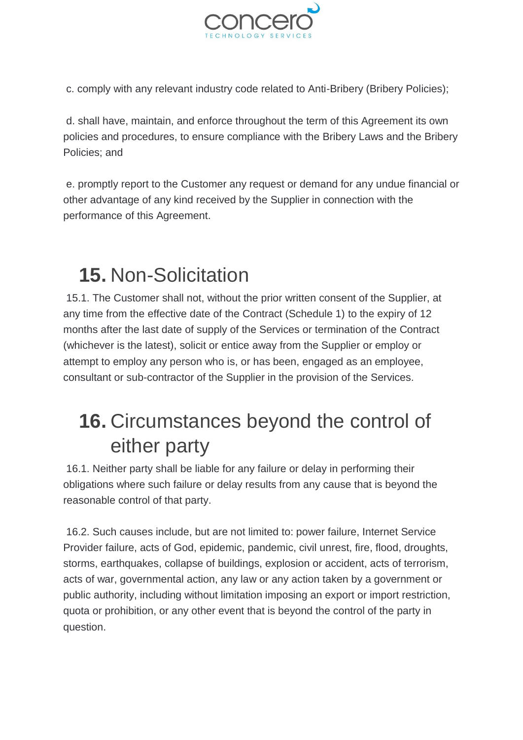

c. comply with any relevant industry code related to Anti-Bribery (Bribery Policies);

d. shall have, maintain, and enforce throughout the term of this Agreement its own policies and procedures, to ensure compliance with the Bribery Laws and the Bribery Policies; and

e. promptly report to the Customer any request or demand for any undue financial or other advantage of any kind received by the Supplier in connection with the performance of this Agreement.

# <span id="page-23-0"></span>**15.** Non-Solicitation

15.1. The Customer shall not, without the prior written consent of the Supplier, at any time from the effective date of the Contract (Schedule 1) to the expiry of 12 months after the last date of supply of the Services or termination of the Contract (whichever is the latest), solicit or entice away from the Supplier or employ or attempt to employ any person who is, or has been, engaged as an employee, consultant or sub-contractor of the Supplier in the provision of the Services.

### <span id="page-23-1"></span>**16.** Circumstances beyond the control of either party

16.1. Neither party shall be liable for any failure or delay in performing their obligations where such failure or delay results from any cause that is beyond the reasonable control of that party.

16.2. Such causes include, but are not limited to: power failure, Internet Service Provider failure, acts of God, epidemic, pandemic, civil unrest, fire, flood, droughts, storms, earthquakes, collapse of buildings, explosion or accident, acts of terrorism, acts of war, governmental action, any law or any action taken by a government or public authority, including without limitation imposing an export or import restriction, quota or prohibition, or any other event that is beyond the control of the party in question.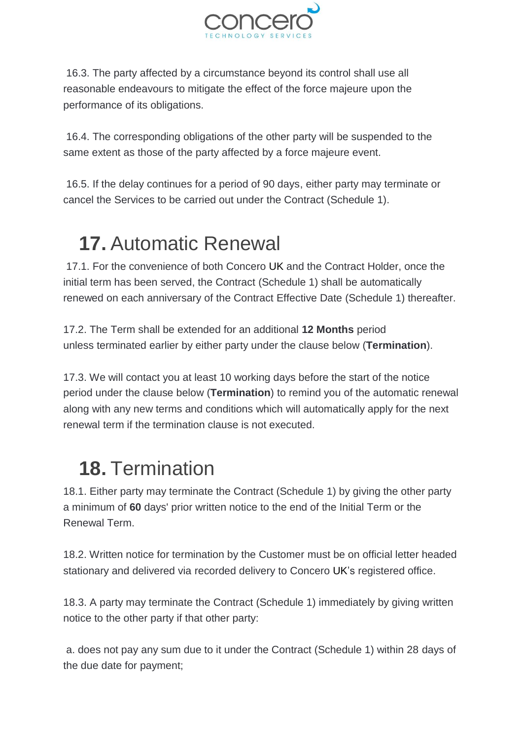

16.3. The party affected by a circumstance beyond its control shall use all reasonable endeavours to mitigate the effect of the force majeure upon the performance of its obligations.

16.4. The corresponding obligations of the other party will be suspended to the same extent as those of the party affected by a force majeure event.

16.5. If the delay continues for a period of 90 days, either party may terminate or cancel the Services to be carried out under the Contract (Schedule 1).

# <span id="page-24-0"></span>**17.** Automatic Renewal

17.1. For the convenience of both Concero UK and the Contract Holder, once the initial term has been served, the Contract (Schedule 1) shall be automatically renewed on each anniversary of the Contract Effective Date (Schedule 1) thereafter.

17.2. The Term shall be extended for an additional **12 Months** period unless terminated earlier by either party under the clause below (**Termination**).

17.3. We will contact you at least 10 working days before the start of the notice period under the clause below (**Termination**) to remind you of the automatic renewal along with any new terms and conditions which will automatically apply for the next renewal term if the termination clause is not executed.

# <span id="page-24-1"></span>**18.** Termination

18.1. Either party may terminate the Contract (Schedule 1) by giving the other party a minimum of **60** days' prior written notice to the end of the Initial Term or the Renewal Term.

18.2. Written notice for termination by the Customer must be on official letter headed stationary and delivered via recorded delivery to Concero UK's registered office.

18.3. A party may terminate the Contract (Schedule 1) immediately by giving written notice to the other party if that other party:

a. does not pay any sum due to it under the Contract (Schedule 1) within 28 days of the due date for payment;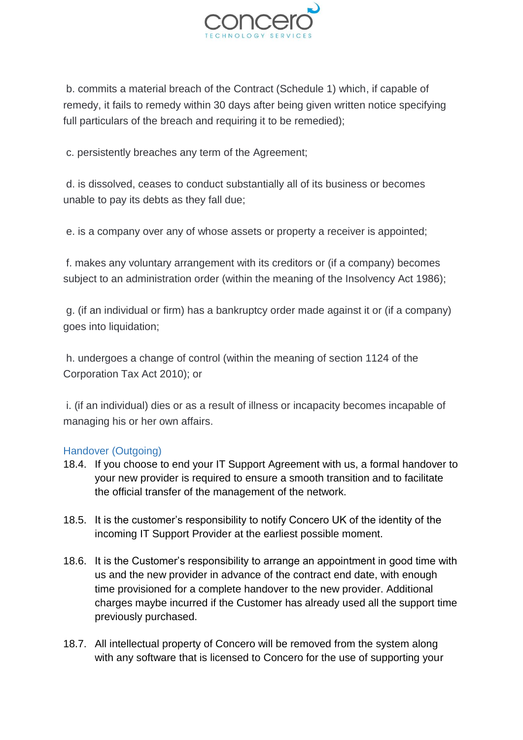

b. commits a material breach of the Contract (Schedule 1) which, if capable of remedy, it fails to remedy within 30 days after being given written notice specifying full particulars of the breach and requiring it to be remedied);

c. persistently breaches any term of the Agreement;

d. is dissolved, ceases to conduct substantially all of its business or becomes unable to pay its debts as they fall due;

e. is a company over any of whose assets or property a receiver is appointed;

f. makes any voluntary arrangement with its creditors or (if a company) becomes subject to an administration order (within the meaning of the Insolvency Act 1986);

g. (if an individual or firm) has a bankruptcy order made against it or (if a company) goes into liquidation;

h. undergoes a change of control (within the meaning of section 1124 of the Corporation Tax Act 2010); or

i. (if an individual) dies or as a result of illness or incapacity becomes incapable of managing his or her own affairs.

#### <span id="page-25-0"></span>Handover (Outgoing)

- 18.4. If you choose to end your IT Support Agreement with us, a formal handover to your new provider is required to ensure a smooth transition and to facilitate the official transfer of the management of the network.
- 18.5. It is the customer's responsibility to notify Concero UK of the identity of the incoming IT Support Provider at the earliest possible moment.
- 18.6. It is the Customer's responsibility to arrange an appointment in good time with us and the new provider in advance of the contract end date, with enough time provisioned for a complete handover to the new provider. Additional charges maybe incurred if the Customer has already used all the support time previously purchased.
- 18.7. All intellectual property of Concero will be removed from the system along with any software that is licensed to Concero for the use of supporting your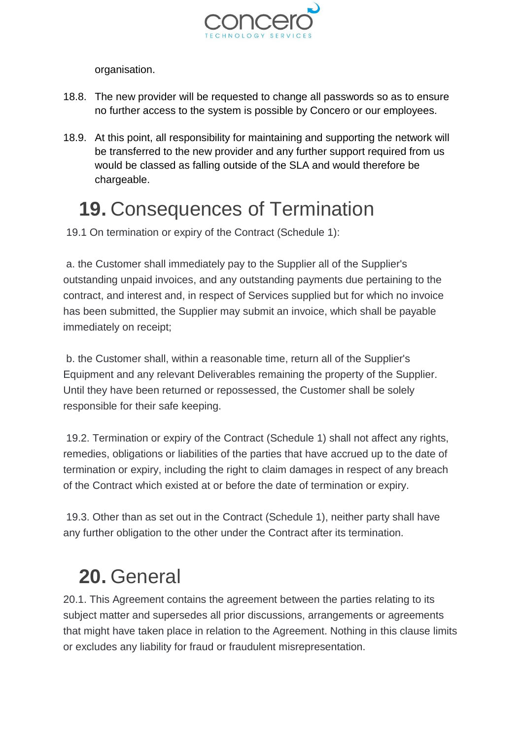

organisation.

- 18.8. The new provider will be requested to change all passwords so as to ensure no further access to the system is possible by Concero or our employees.
- 18.9. At this point, all responsibility for maintaining and supporting the network will be transferred to the new provider and any further support required from us would be classed as falling outside of the SLA and would therefore be chargeable.

### <span id="page-26-0"></span>**19.** Consequences of Termination

19.1 On termination or expiry of the Contract (Schedule 1):

a. the Customer shall immediately pay to the Supplier all of the Supplier's outstanding unpaid invoices, and any outstanding payments due pertaining to the contract, and interest and, in respect of Services supplied but for which no invoice has been submitted, the Supplier may submit an invoice, which shall be payable immediately on receipt;

b. the Customer shall, within a reasonable time, return all of the Supplier's Equipment and any relevant Deliverables remaining the property of the Supplier. Until they have been returned or repossessed, the Customer shall be solely responsible for their safe keeping.

19.2. Termination or expiry of the Contract (Schedule 1) shall not affect any rights, remedies, obligations or liabilities of the parties that have accrued up to the date of termination or expiry, including the right to claim damages in respect of any breach of the Contract which existed at or before the date of termination or expiry.

19.3. Other than as set out in the Contract (Schedule 1), neither party shall have any further obligation to the other under the Contract after its termination.

### <span id="page-26-1"></span>**20.** General

20.1. This Agreement contains the agreement between the parties relating to its subject matter and supersedes all prior discussions, arrangements or agreements that might have taken place in relation to the Agreement. Nothing in this clause limits or excludes any liability for fraud or fraudulent misrepresentation.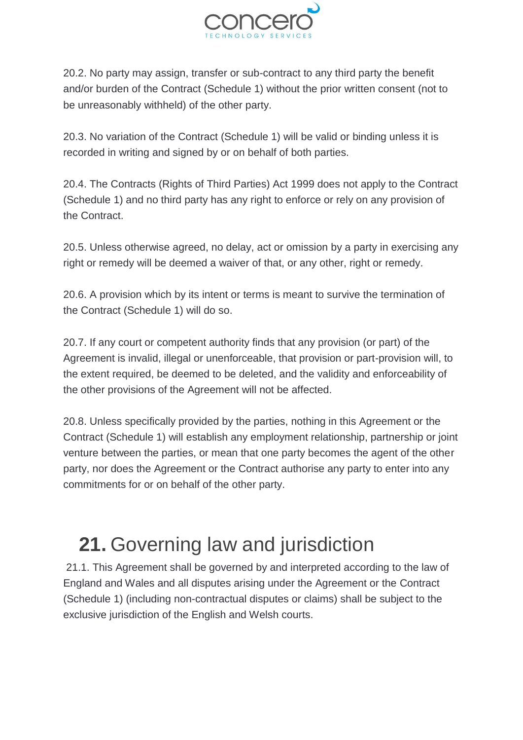

20.2. No party may assign, transfer or sub-contract to any third party the benefit and/or burden of the Contract (Schedule 1) without the prior written consent (not to be unreasonably withheld) of the other party.

20.3. No variation of the Contract (Schedule 1) will be valid or binding unless it is recorded in writing and signed by or on behalf of both parties.

20.4. The Contracts (Rights of Third Parties) Act 1999 does not apply to the Contract (Schedule 1) and no third party has any right to enforce or rely on any provision of the Contract.

20.5. Unless otherwise agreed, no delay, act or omission by a party in exercising any right or remedy will be deemed a waiver of that, or any other, right or remedy.

20.6. A provision which by its intent or terms is meant to survive the termination of the Contract (Schedule 1) will do so.

20.7. If any court or competent authority finds that any provision (or part) of the Agreement is invalid, illegal or unenforceable, that provision or part-provision will, to the extent required, be deemed to be deleted, and the validity and enforceability of the other provisions of the Agreement will not be affected.

20.8. Unless specifically provided by the parties, nothing in this Agreement or the Contract (Schedule 1) will establish any employment relationship, partnership or joint venture between the parties, or mean that one party becomes the agent of the other party, nor does the Agreement or the Contract authorise any party to enter into any commitments for or on behalf of the other party.

# <span id="page-27-0"></span>**21.** Governing law and jurisdiction

21.1. This Agreement shall be governed by and interpreted according to the law of England and Wales and all disputes arising under the Agreement or the Contract (Schedule 1) (including non-contractual disputes or claims) shall be subject to the exclusive jurisdiction of the English and Welsh courts.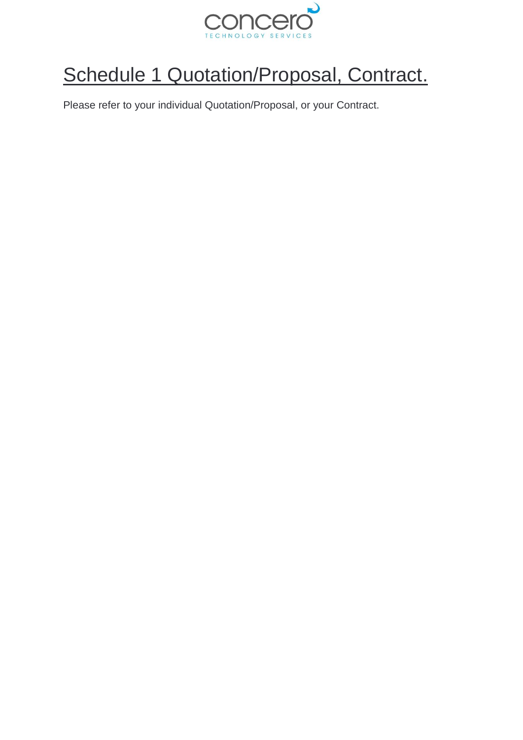

# <span id="page-28-0"></span>Schedule 1 Quotation/Proposal, Contract.

Please refer to your individual Quotation/Proposal, or your Contract.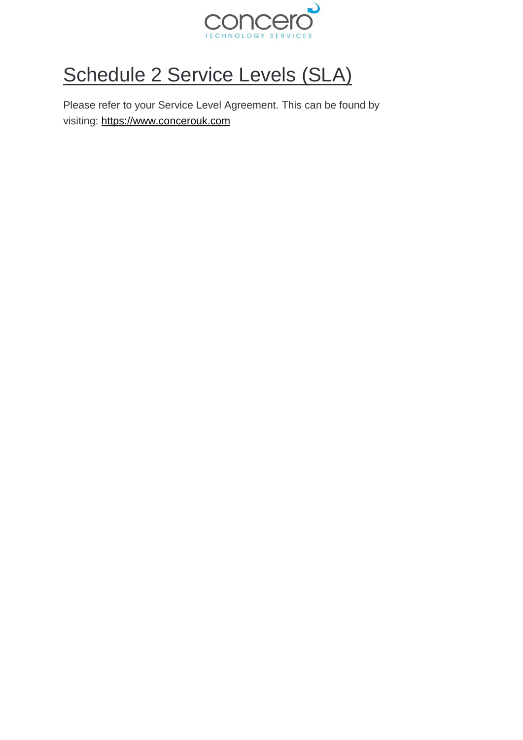

# <span id="page-29-0"></span>Schedule 2 Service Levels (SLA)

Please refer to your Service Level Agreement. This can be found by visiting: [https://www.concerouk.com](https://www.concerouk.com/)